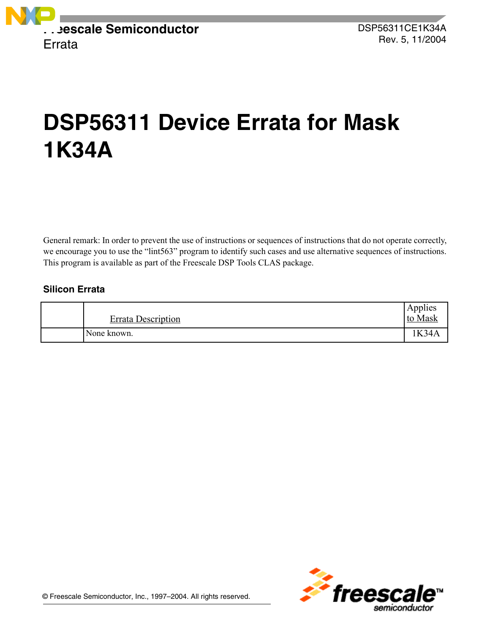

# **DSP56311 Device Errata for Mask 1K34A**

General remark: In order to prevent the use of instructions or sequences of instructions that do not operate correctly, we encourage you to use the "lint563" program to identify such cases and use alternative sequences of instructions. This program is available as part of the Freescale DSP Tools CLAS package.

# **Silicon Errata**

| <b>Errata Description</b> | $\sim$ $\sim$<br>Applies<br>to Mask |
|---------------------------|-------------------------------------|
| None known.               | <b>K34A</b>                         |

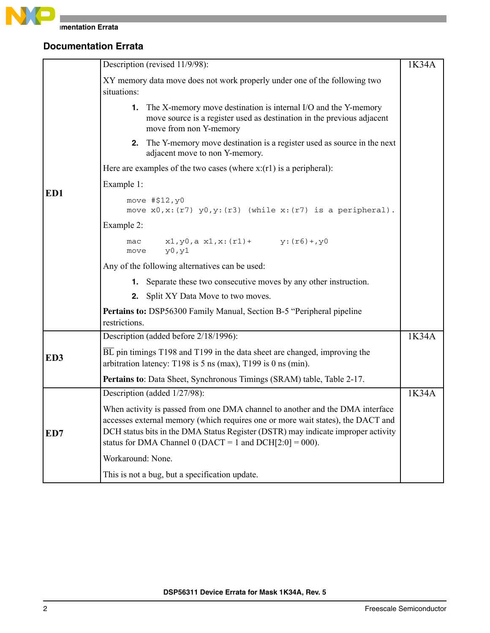

|                 | Description (revised 11/9/98):                                                                                                                                                                                                                                                                                      | 1K34A |
|-----------------|---------------------------------------------------------------------------------------------------------------------------------------------------------------------------------------------------------------------------------------------------------------------------------------------------------------------|-------|
|                 | XY memory data move does not work properly under one of the following two<br>situations:                                                                                                                                                                                                                            |       |
|                 | <b>1.</b> The X-memory move destination is internal I/O and the Y-memory<br>move source is a register used as destination in the previous adjacent<br>move from non Y-memory                                                                                                                                        |       |
|                 | 2. The Y-memory move destination is a register used as source in the next<br>adjacent move to non Y-memory.                                                                                                                                                                                                         |       |
|                 | Here are examples of the two cases (where $x:(r1)$ is a peripheral):                                                                                                                                                                                                                                                |       |
|                 | Example 1:                                                                                                                                                                                                                                                                                                          |       |
| ED1             | move #\$12, y0<br>move $x0, x: (r7)$ $y0, y: (r3)$ (while $x: (r7)$ is a peripheral).                                                                                                                                                                                                                               |       |
|                 | Example 2:                                                                                                                                                                                                                                                                                                          |       |
|                 | $x1, y0, a x1, x: (r1) + y: (r6) + y0$<br>mac<br>y0, y1<br>move                                                                                                                                                                                                                                                     |       |
|                 | Any of the following alternatives can be used:                                                                                                                                                                                                                                                                      |       |
|                 | <b>1.</b> Separate these two consecutive moves by any other instruction.                                                                                                                                                                                                                                            |       |
|                 | 2. Split XY Data Move to two moves.                                                                                                                                                                                                                                                                                 |       |
|                 | Pertains to: DSP56300 Family Manual, Section B-5 "Peripheral pipeline<br>restrictions.                                                                                                                                                                                                                              |       |
|                 | Description (added before 2/18/1996):                                                                                                                                                                                                                                                                               | 1K34A |
| ED <sub>3</sub> | BL pin timings T198 and T199 in the data sheet are changed, improving the<br>arbitration latency: T198 is $5$ ns (max), T199 is 0 ns (min).                                                                                                                                                                         |       |
|                 | Pertains to: Data Sheet, Synchronous Timings (SRAM) table, Table 2-17.                                                                                                                                                                                                                                              |       |
|                 | Description (added 1/27/98):                                                                                                                                                                                                                                                                                        | 1K34A |
| ED7             | When activity is passed from one DMA channel to another and the DMA interface<br>accesses external memory (which requires one or more wait states), the DACT and<br>DCH status bits in the DMA Status Register (DSTR) may indicate improper activity<br>status for DMA Channel 0 (DACT = 1 and DCH $[2:0] = 000$ ). |       |
|                 | Workaround: None.                                                                                                                                                                                                                                                                                                   |       |
|                 | This is not a bug, but a specification update.                                                                                                                                                                                                                                                                      |       |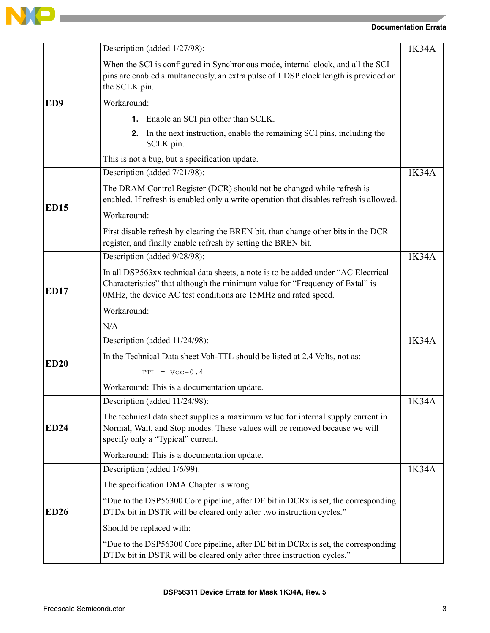

|                 | Description (added 1/27/98):                                                                                                                                                                                                        | 1K34A |
|-----------------|-------------------------------------------------------------------------------------------------------------------------------------------------------------------------------------------------------------------------------------|-------|
|                 | When the SCI is configured in Synchronous mode, internal clock, and all the SCI<br>pins are enabled simultaneously, an extra pulse of 1 DSP clock length is provided on<br>the SCLK pin.                                            |       |
| ED <sub>9</sub> | Workaround:                                                                                                                                                                                                                         |       |
|                 | <b>1.</b> Enable an SCI pin other than SCLK.                                                                                                                                                                                        |       |
|                 | <b>2.</b> In the next instruction, enable the remaining SCI pins, including the<br>SCLK pin.                                                                                                                                        |       |
|                 | This is not a bug, but a specification update.                                                                                                                                                                                      |       |
|                 | Description (added 7/21/98):                                                                                                                                                                                                        | 1K34A |
| <b>ED15</b>     | The DRAM Control Register (DCR) should not be changed while refresh is<br>enabled. If refresh is enabled only a write operation that disables refresh is allowed.                                                                   |       |
|                 | Workaround:                                                                                                                                                                                                                         |       |
|                 | First disable refresh by clearing the BREN bit, than change other bits in the DCR<br>register, and finally enable refresh by setting the BREN bit.                                                                                  |       |
|                 | Description (added 9/28/98):                                                                                                                                                                                                        | 1K34A |
| <b>ED17</b>     | In all DSP563xx technical data sheets, a note is to be added under "AC Electrical<br>Characteristics" that although the minimum value for "Frequency of Extal" is<br>0MHz, the device AC test conditions are 15MHz and rated speed. |       |
|                 | Workaround:                                                                                                                                                                                                                         |       |
|                 | N/A                                                                                                                                                                                                                                 |       |
|                 | Description (added 11/24/98):                                                                                                                                                                                                       | 1K34A |
| <b>ED20</b>     | In the Technical Data sheet Voh-TTL should be listed at 2.4 Volts, not as:                                                                                                                                                          |       |
|                 | $TTL = Vcc-0.4$                                                                                                                                                                                                                     |       |
|                 | Workaround: This is a documentation update.                                                                                                                                                                                         |       |
|                 | Description (added 11/24/98):                                                                                                                                                                                                       | 1K34A |
| <b>ED24</b>     | The technical data sheet supplies a maximum value for internal supply current in<br>Normal, Wait, and Stop modes. These values will be removed because we will<br>specify only a "Typical" current.                                 |       |
|                 | Workaround: This is a documentation update.                                                                                                                                                                                         |       |
|                 | Description (added 1/6/99):                                                                                                                                                                                                         | 1K34A |
|                 | The specification DMA Chapter is wrong.                                                                                                                                                                                             |       |
| <b>ED26</b>     | "Due to the DSP56300 Core pipeline, after DE bit in DCRx is set, the corresponding<br>DTDx bit in DSTR will be cleared only after two instruction cycles."                                                                          |       |
|                 | Should be replaced with:                                                                                                                                                                                                            |       |
|                 | "Due to the DSP56300 Core pipeline, after DE bit in DCRx is set, the corresponding<br>DTDx bit in DSTR will be cleared only after three instruction cycles."                                                                        |       |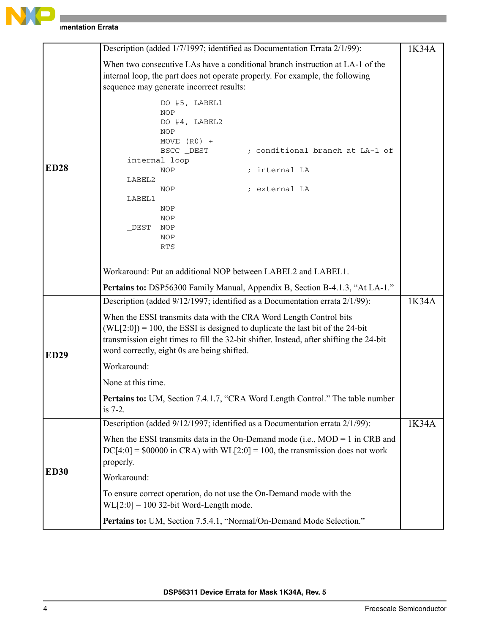

|             | Description (added 1/7/1997; identified as Documentation Errata 2/1/99):                                                                                                                                                                                                                         | 1K34A |
|-------------|--------------------------------------------------------------------------------------------------------------------------------------------------------------------------------------------------------------------------------------------------------------------------------------------------|-------|
|             | When two consecutive LAs have a conditional branch instruction at LA-1 of the<br>internal loop, the part does not operate properly. For example, the following<br>sequence may generate incorrect results:                                                                                       |       |
| <b>ED28</b> | DO #5, LABEL1<br><b>NOP</b><br>DO #4, LABEL2<br><b>NOP</b><br>MOVE $(R0)$ +<br>; conditional branch at LA-1 of<br>BSCC _DEST<br>internal loop<br>; internal LA<br>NOP<br>LABEL2<br>; external LA<br>NOP                                                                                          |       |
|             | LABEL1<br>NOP<br>NOP<br>DEST<br>NOP<br>NOP<br><b>RTS</b>                                                                                                                                                                                                                                         |       |
|             | Workaround: Put an additional NOP between LABEL2 and LABEL1.<br>Pertains to: DSP56300 Family Manual, Appendix B, Section B-4.1.3, "At LA-1."                                                                                                                                                     |       |
|             | Description (added 9/12/1997; identified as a Documentation errata 2/1/99):                                                                                                                                                                                                                      | 1K34A |
| <b>ED29</b> | When the ESSI transmits data with the CRA Word Length Control bits<br>$(WL[2:0]) = 100$ , the ESSI is designed to duplicate the last bit of the 24-bit<br>transmission eight times to fill the 32-bit shifter. Instead, after shifting the 24-bit<br>word correctly, eight 0s are being shifted. |       |
|             | Workaround:                                                                                                                                                                                                                                                                                      |       |
|             | None at this time.                                                                                                                                                                                                                                                                               |       |
|             | <b>Pertains to:</b> UM, Section 7.4.1.7, "CRA Word Length Control." The table number<br>is 7-2.                                                                                                                                                                                                  |       |
|             | Description (added 9/12/1997; identified as a Documentation errata 2/1/99):                                                                                                                                                                                                                      | 1K34A |
|             | When the ESSI transmits data in the On-Demand mode (i.e., $MOD = 1$ in CRB and<br>$DC[4:0] = $00000$ in CRA) with $WL[2:0] = 100$ , the transmission does not work<br>properly.                                                                                                                  |       |
| <b>ED30</b> | Workaround:                                                                                                                                                                                                                                                                                      |       |
|             | To ensure correct operation, do not use the On-Demand mode with the<br>$WL[2:0] = 100$ 32-bit Word-Length mode.                                                                                                                                                                                  |       |
|             | Pertains to: UM, Section 7.5.4.1, "Normal/On-Demand Mode Selection."                                                                                                                                                                                                                             |       |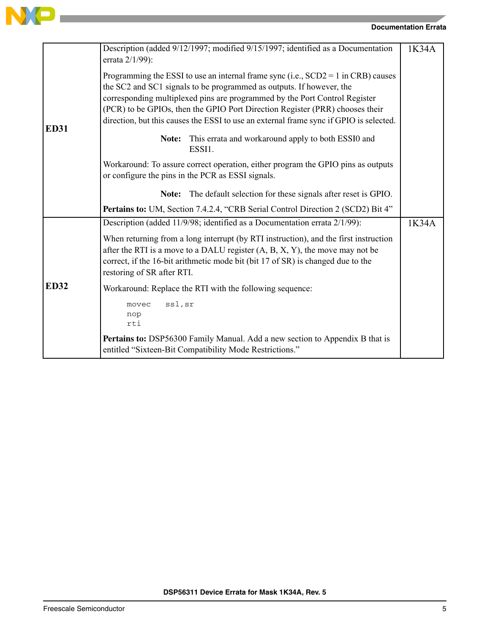

|             | Description (added 9/12/1997; modified 9/15/1997; identified as a Documentation<br>errata 2/1/99):                                                                                                                                                                                                                                                                                                                  | 1K34A |
|-------------|---------------------------------------------------------------------------------------------------------------------------------------------------------------------------------------------------------------------------------------------------------------------------------------------------------------------------------------------------------------------------------------------------------------------|-------|
| <b>ED31</b> | Programming the ESSI to use an internal frame sync (i.e., $SCD2 = 1$ in CRB) causes<br>the SC2 and SC1 signals to be programmed as outputs. If however, the<br>corresponding multiplexed pins are programmed by the Port Control Register<br>(PCR) to be GPIOs, then the GPIO Port Direction Register (PRR) chooses their<br>direction, but this causes the ESSI to use an external frame sync if GPIO is selected. |       |
|             | This errata and workaround apply to both ESSI0 and<br>Note:<br>ESSI1.                                                                                                                                                                                                                                                                                                                                               |       |
|             | Workaround: To assure correct operation, either program the GPIO pins as outputs<br>or configure the pins in the PCR as ESSI signals.                                                                                                                                                                                                                                                                               |       |
|             | The default selection for these signals after reset is GPIO.<br>Note:                                                                                                                                                                                                                                                                                                                                               |       |
|             | Pertains to: UM, Section 7.4.2.4, "CRB Serial Control Direction 2 (SCD2) Bit 4"                                                                                                                                                                                                                                                                                                                                     |       |
|             | Description (added 11/9/98; identified as a Documentation errata 2/1/99):                                                                                                                                                                                                                                                                                                                                           | 1K34A |
|             | When returning from a long interrupt (by RTI instruction), and the first instruction<br>after the RTI is a move to a DALU register $(A, B, X, Y)$ , the move may not be<br>correct, if the 16-bit arithmetic mode bit (bit 17 of SR) is changed due to the<br>restoring of SR after RTI.                                                                                                                            |       |
| <b>ED32</b> | Workaround: Replace the RTI with the following sequence:                                                                                                                                                                                                                                                                                                                                                            |       |
|             | ssl, sr<br>movec<br>nop<br>rti                                                                                                                                                                                                                                                                                                                                                                                      |       |
|             | Pertains to: DSP56300 Family Manual. Add a new section to Appendix B that is<br>entitled "Sixteen-Bit Compatibility Mode Restrictions."                                                                                                                                                                                                                                                                             |       |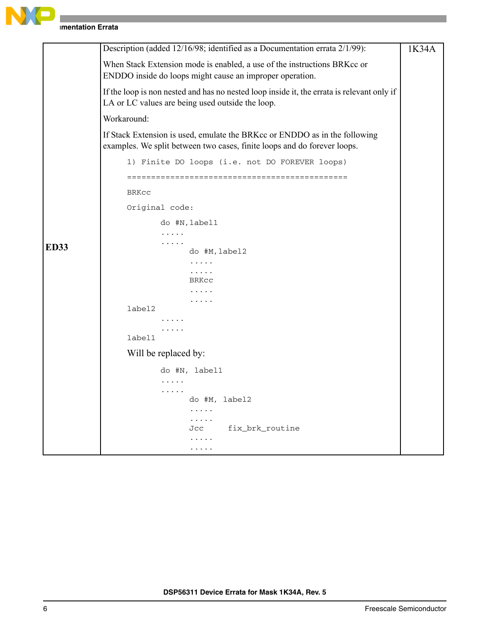

|             | Description (added 12/16/98; identified as a Documentation errata 2/1/99):                                                                             | 1K34A |
|-------------|--------------------------------------------------------------------------------------------------------------------------------------------------------|-------|
|             | When Stack Extension mode is enabled, a use of the instructions BRKcc or<br>ENDDO inside do loops might cause an improper operation.                   |       |
|             | If the loop is non nested and has no nested loop inside it, the errata is relevant only if<br>LA or LC values are being used outside the loop.         |       |
|             | Workaround:                                                                                                                                            |       |
|             | If Stack Extension is used, emulate the BRKcc or ENDDO as in the following<br>examples. We split between two cases, finite loops and do forever loops. |       |
|             | 1) Finite DO loops (i.e. not DO FOREVER loops)                                                                                                         |       |
|             | <b>BRKCC</b>                                                                                                                                           |       |
|             | Original code:                                                                                                                                         |       |
|             | do #N, label1                                                                                                                                          |       |
|             | .<br>.                                                                                                                                                 |       |
| <b>ED33</b> | do #M, label2                                                                                                                                          |       |
|             | $\cdots\cdots\cdots$                                                                                                                                   |       |
|             | $\cdots\cdots$<br>BRKCC                                                                                                                                |       |
|             | .                                                                                                                                                      |       |
|             | .<br>label2                                                                                                                                            |       |
|             |                                                                                                                                                        |       |
|             | .<br>label1                                                                                                                                            |       |
|             | Will be replaced by:                                                                                                                                   |       |
|             |                                                                                                                                                        |       |
|             | do #N, label1<br>.                                                                                                                                     |       |
|             | .                                                                                                                                                      |       |
|             | do #M, label2                                                                                                                                          |       |
|             | .<br>.                                                                                                                                                 |       |
|             | fix_brk_routine<br>Jcc                                                                                                                                 |       |
|             | .                                                                                                                                                      |       |
|             |                                                                                                                                                        |       |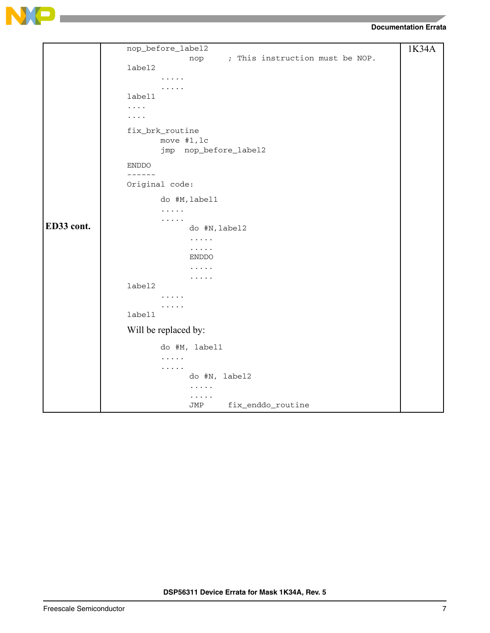

|            | nop_before_label2                      | 1K34A |
|------------|----------------------------------------|-------|
|            | ; This instruction must be NOP.<br>nop |       |
|            | label2                                 |       |
|            | .                                      |       |
|            | .                                      |       |
|            | label1                                 |       |
|            | $\cdots$ .                             |       |
|            | .                                      |       |
|            | fix_brk_routine                        |       |
|            | move #1, lc                            |       |
|            | jmp nop_before_label2                  |       |
|            | <b>ENDDO</b>                           |       |
|            | ------                                 |       |
|            | Original code:                         |       |
|            | do #M, label1                          |       |
|            | .                                      |       |
| ED33 cont. | .                                      |       |
|            | do #N, label2                          |       |
|            | $\cdots$<br>$\cdots$                   |       |
|            | ENDDO                                  |       |
|            | .                                      |       |
|            | .                                      |       |
|            | label2                                 |       |
|            |                                        |       |
|            | .                                      |       |
|            | label1                                 |       |
|            | Will be replaced by:                   |       |
|            | do #M, label1                          |       |
|            | $\cdots$                               |       |
|            | $\cdots$                               |       |
|            | do #N, label2                          |       |
|            | .                                      |       |
|            | .<br>fix_enddo_routine<br>JMP          |       |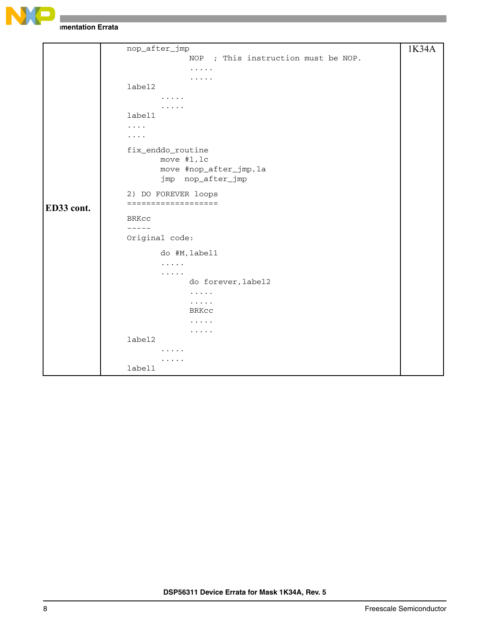

```
ED33 cont.
     nop_after_jmp
                  NOP ; This instruction must be NOP.
                   .....
                   .....
     label2
            .....
            .....
     label1
     ....
     ....
     fix_enddo_routine
            move #1,lc
            move #nop_after_jmp,la
            jmp nop_after_jmp
     2) DO FOREVER loops
     ===================
     BRKcc
     -----
     Original code:
            do #M,label1
             .....
             .....
                  do forever,label2
                   .....
                   .....
                  BRKcc
                   .....
                   .....
     label2
             .....
            .....
     label1
                                                                  1K34A
```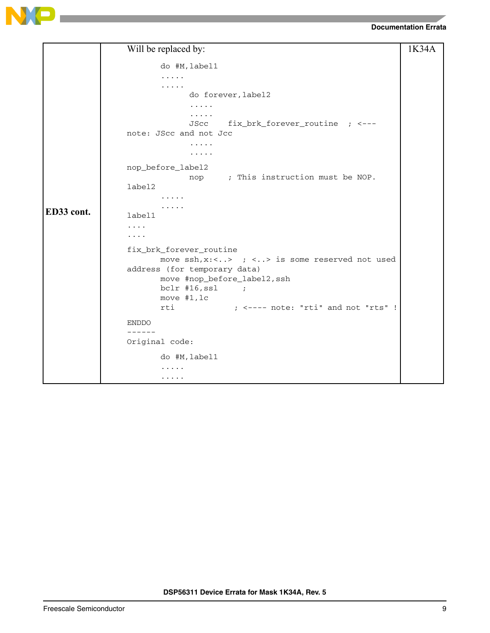



|            | Will be replaced by:                                            | 1K34A |
|------------|-----------------------------------------------------------------|-------|
|            | do #M, label1                                                   |       |
|            | .                                                               |       |
|            | .                                                               |       |
|            | do forever, label2                                              |       |
|            | .                                                               |       |
|            | .                                                               |       |
|            | fix_brk_forever_routine ; <---<br>JScc                          |       |
|            | note: JScc and not Jcc                                          |       |
|            |                                                                 |       |
|            | .                                                               |       |
|            | nop_before_label2                                               |       |
|            | nop ; This instruction must be NOP.                             |       |
|            | label2                                                          |       |
|            |                                                                 |       |
| ED33 cont. |                                                                 |       |
|            | label1                                                          |       |
|            | .                                                               |       |
|            | .                                                               |       |
|            | fix_brk_forever_routine                                         |       |
|            | move $\operatorname{ssh}$ , x:<> ; <> is some reserved not used |       |
|            | address (for temporary data)                                    |       |
|            | move #nop_before_label2, ssh                                    |       |
|            | $bc1r$ #16, ssl<br>$\sim$ $\sim$ $\sim$ $\sim$ $\sim$ $\sim$    |       |
|            | move $#1, 1c$                                                   |       |
|            | $:$ $\leq$ ---- note: "rti" and not "rts" !<br>rti              |       |
|            | <b>ENDDO</b>                                                    |       |
|            | ------                                                          |       |
|            | Original code:                                                  |       |
|            | do #M, label1                                                   |       |
|            | .                                                               |       |
|            | $\cdots\cdots\cdots$                                            |       |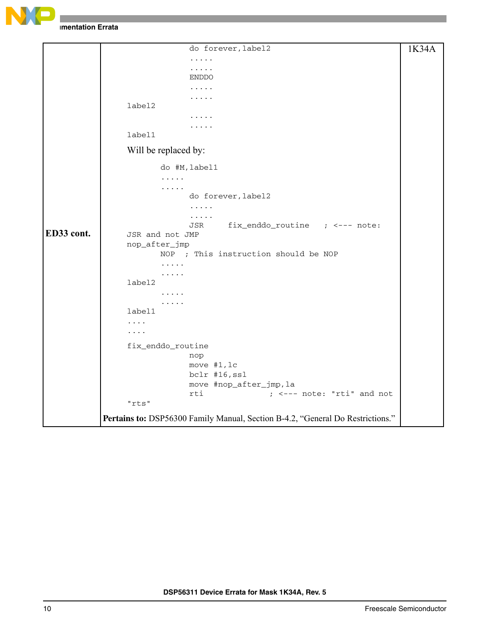

```
ED33 cont.
                   do forever,label2
                   .....
                   .....
                   ENDDO
                   .....
                   .....
     label2
                   .....
                   .....
     label1
     Will be replaced by:
             do #M,label1
             .....
             .....
                   do forever,label2
                   .....
                   .....
                   JSR fix_enddo_routine ; <--- note: 
     JSR and not JMP
     nop_after_jmp
            NOP ; This instruction should be NOP
             .....
             .....
     label2
             .....
             .....
     label1
     ....
     ....
     fix_enddo_routine
                   nop
                   move #1,lc
                   bclr #16,ssl
                   move #nop_after_jmp,la
                   rti ; <--- note: "rti" and not 
      "rts"
Pertains to: DSP56300 Family Manual, Section B-4.2, "General Do Restrictions."
                                                                   1K34A
```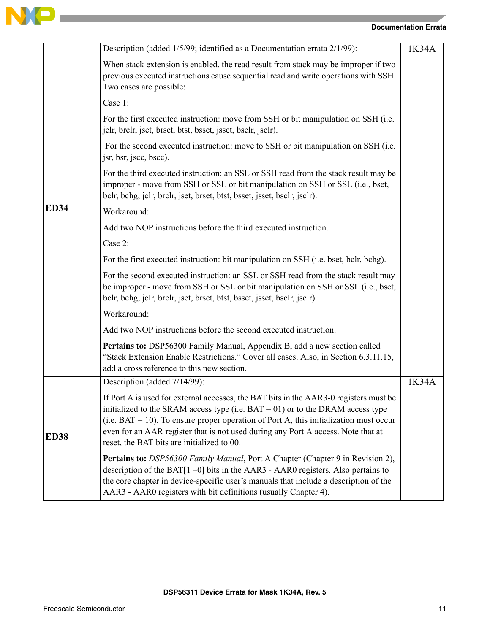

|             | Description (added 1/5/99; identified as a Documentation errata 2/1/99):                                                                                                                                                                                                                                                                                                                                 | 1K34A |
|-------------|----------------------------------------------------------------------------------------------------------------------------------------------------------------------------------------------------------------------------------------------------------------------------------------------------------------------------------------------------------------------------------------------------------|-------|
|             | When stack extension is enabled, the read result from stack may be improper if two<br>previous executed instructions cause sequential read and write operations with SSH.<br>Two cases are possible:                                                                                                                                                                                                     |       |
|             | Case 1:                                                                                                                                                                                                                                                                                                                                                                                                  |       |
|             | For the first executed instruction: move from SSH or bit manipulation on SSH (i.e.<br>jclr, brclr, jset, brset, btst, bsset, jsset, bsclr, jsclr).                                                                                                                                                                                                                                                       |       |
|             | For the second executed instruction: move to SSH or bit manipulation on SSH (i.e.<br>jsr, bsr, jscc, bscc).                                                                                                                                                                                                                                                                                              |       |
|             | For the third executed instruction: an SSL or SSH read from the stack result may be<br>improper - move from SSH or SSL or bit manipulation on SSH or SSL (i.e., bset,<br>bclr, bchg, jclr, brclr, jset, brset, btst, bsset, jsset, bsclr, jsclr).                                                                                                                                                        |       |
| <b>ED34</b> | Workaround:                                                                                                                                                                                                                                                                                                                                                                                              |       |
|             | Add two NOP instructions before the third executed instruction.                                                                                                                                                                                                                                                                                                                                          |       |
|             | Case 2:                                                                                                                                                                                                                                                                                                                                                                                                  |       |
|             | For the first executed instruction: bit manipulation on SSH (i.e. bset, bclr, bchg).                                                                                                                                                                                                                                                                                                                     |       |
|             | For the second executed instruction: an SSL or SSH read from the stack result may<br>be improper - move from SSH or SSL or bit manipulation on SSH or SSL (i.e., bset,<br>bclr, bchg, jclr, brclr, jset, brset, btst, bsset, jsset, bsclr, jsclr).                                                                                                                                                       |       |
|             | Workaround:                                                                                                                                                                                                                                                                                                                                                                                              |       |
|             | Add two NOP instructions before the second executed instruction.                                                                                                                                                                                                                                                                                                                                         |       |
|             | Pertains to: DSP56300 Family Manual, Appendix B, add a new section called<br>"Stack Extension Enable Restrictions." Cover all cases. Also, in Section 6.3.11.15,<br>add a cross reference to this new section.                                                                                                                                                                                           |       |
|             | Description (added 7/14/99):                                                                                                                                                                                                                                                                                                                                                                             | 1K34A |
| <b>ED38</b> | If Port A is used for external accesses, the BAT bits in the AAR3-0 registers must be<br>initialized to the SRAM access type (i.e. $BAT = 01$ ) or to the DRAM access type<br>$(i.e. BAT = 10)$ . To ensure proper operation of Port A, this initialization must occur<br>even for an AAR register that is not used during any Port A access. Note that at<br>reset, the BAT bits are initialized to 00. |       |
|             | <b>Pertains to:</b> DSP56300 Family Manual, Port A Chapter (Chapter 9 in Revision 2),<br>description of the BAT $[1 - 0]$ bits in the AAR3 - AAR0 registers. Also pertains to<br>the core chapter in device-specific user's manuals that include a description of the<br>AAR3 - AAR0 registers with bit definitions (usually Chapter 4).                                                                 |       |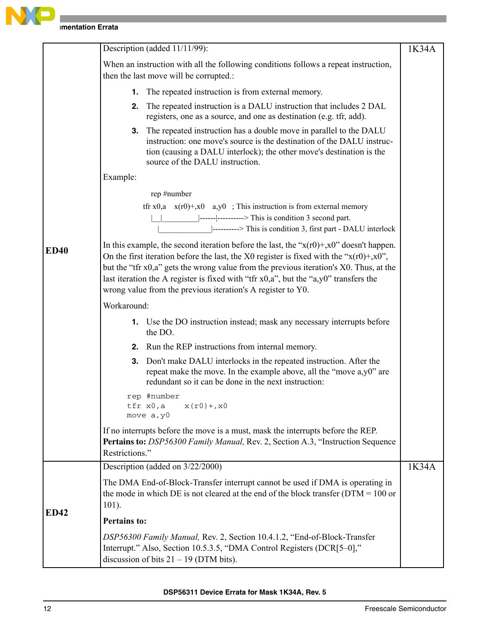

|             | Description (added 11/11/99):                                                                                                                                                                                                                                                                                                                                                                                                                     | 1K34A |
|-------------|---------------------------------------------------------------------------------------------------------------------------------------------------------------------------------------------------------------------------------------------------------------------------------------------------------------------------------------------------------------------------------------------------------------------------------------------------|-------|
|             | When an instruction with all the following conditions follows a repeat instruction,<br>then the last move will be corrupted.:                                                                                                                                                                                                                                                                                                                     |       |
|             | The repeated instruction is from external memory.<br>1.                                                                                                                                                                                                                                                                                                                                                                                           |       |
|             | The repeated instruction is a DALU instruction that includes 2 DAL<br>2.<br>registers, one as a source, and one as destination (e.g. tfr, add).                                                                                                                                                                                                                                                                                                   |       |
|             | <b>3.</b> The repeated instruction has a double move in parallel to the DALU<br>instruction: one move's source is the destination of the DALU instruc-<br>tion (causing a DALU interlock); the other move's destination is the<br>source of the DALU instruction.                                                                                                                                                                                 |       |
|             | Example:                                                                                                                                                                                                                                                                                                                                                                                                                                          |       |
|             | rep #number                                                                                                                                                                                                                                                                                                                                                                                                                                       |       |
|             | tfr x0,a $x(r0)$ +,x0 a,y0 ; This instruction is from external memory<br>$\vert$ ------ $\vert$ ----------> This is condition 3 second part.<br> ---------> This is condition 3, first part - DALU interlock                                                                                                                                                                                                                                      |       |
| <b>ED40</b> | In this example, the second iteration before the last, the " $x(r0)$ +, $x0$ " doesn't happen.<br>On the first iteration before the last, the X0 register is fixed with the " $x(r0) + x0$ ",<br>but the "tfr x0,a" gets the wrong value from the previous iteration's X0. Thus, at the<br>last iteration the A register is fixed with "tfr $x0$ ,a", but the "a,y0" transfers the<br>wrong value from the previous iteration's A register to Y0. |       |
|             | Workaround:                                                                                                                                                                                                                                                                                                                                                                                                                                       |       |
|             | 1. Use the DO instruction instead; mask any necessary interrupts before<br>the DO.                                                                                                                                                                                                                                                                                                                                                                |       |
|             | <b>2.</b> Run the REP instructions from internal memory.                                                                                                                                                                                                                                                                                                                                                                                          |       |
|             | Don't make DALU interlocks in the repeated instruction. After the<br>3.<br>repeat make the move. In the example above, all the "move a,y0" are<br>redundant so it can be done in the next instruction:                                                                                                                                                                                                                                            |       |
|             | rep #number<br>tfr x0,a<br>$x(r0) + x0$<br>move a, y0                                                                                                                                                                                                                                                                                                                                                                                             |       |
|             | If no interrupts before the move is a must, mask the interrupts before the REP.<br>Pertains to: DSP56300 Family Manual, Rev. 2, Section A.3, "Instruction Sequence<br>Restrictions."                                                                                                                                                                                                                                                              |       |
|             | Description (added on 3/22/2000)                                                                                                                                                                                                                                                                                                                                                                                                                  | 1K34A |
|             | The DMA End-of-Block-Transfer interrupt cannot be used if DMA is operating in<br>the mode in which DE is not cleared at the end of the block transfer ( $DTM = 100$ or<br>$101$ ).                                                                                                                                                                                                                                                                |       |
| <b>ED42</b> | <b>Pertains to:</b>                                                                                                                                                                                                                                                                                                                                                                                                                               |       |
|             | DSP56300 Family Manual, Rev. 2, Section 10.4.1.2, "End-of-Block-Transfer<br>Interrupt." Also, Section 10.5.3.5, "DMA Control Registers (DCR[5-0],"<br>discussion of bits $21 - 19$ (DTM bits).                                                                                                                                                                                                                                                    |       |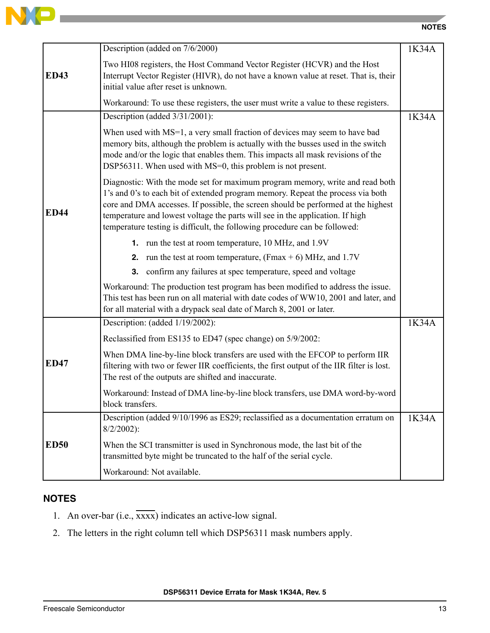

|             | Description (added on 7/6/2000)                                                                                                                                                                                                                                                                                                                                                                                      | 1K34A |
|-------------|----------------------------------------------------------------------------------------------------------------------------------------------------------------------------------------------------------------------------------------------------------------------------------------------------------------------------------------------------------------------------------------------------------------------|-------|
| <b>ED43</b> | Two HI08 registers, the Host Command Vector Register (HCVR) and the Host<br>Interrupt Vector Register (HIVR), do not have a known value at reset. That is, their<br>initial value after reset is unknown.                                                                                                                                                                                                            |       |
|             | Workaround: To use these registers, the user must write a value to these registers.                                                                                                                                                                                                                                                                                                                                  |       |
|             | Description (added 3/31/2001):                                                                                                                                                                                                                                                                                                                                                                                       | 1K34A |
|             | When used with MS=1, a very small fraction of devices may seem to have bad<br>memory bits, although the problem is actually with the busses used in the switch<br>mode and/or the logic that enables them. This impacts all mask revisions of the<br>DSP56311. When used with MS=0, this problem is not present.                                                                                                     |       |
| <b>ED44</b> | Diagnostic: With the mode set for maximum program memory, write and read both<br>1's and 0's to each bit of extended program memory. Repeat the process via both<br>core and DMA accesses. If possible, the screen should be performed at the highest<br>temperature and lowest voltage the parts will see in the application. If high<br>temperature testing is difficult, the following procedure can be followed: |       |
|             | 1. run the test at room temperature, 10 MHz, and 1.9V                                                                                                                                                                                                                                                                                                                                                                |       |
|             | <b>2.</b> run the test at room temperature, $(Fmax + 6)$ MHz, and 1.7V                                                                                                                                                                                                                                                                                                                                               |       |
|             | 3. confirm any failures at spec temperature, speed and voltage                                                                                                                                                                                                                                                                                                                                                       |       |
|             | Workaround: The production test program has been modified to address the issue.<br>This test has been run on all material with date codes of WW10, 2001 and later, and<br>for all material with a drypack seal date of March 8, 2001 or later.                                                                                                                                                                       |       |
|             | Description: (added 1/19/2002):                                                                                                                                                                                                                                                                                                                                                                                      | 1K34A |
|             | Reclassified from ES135 to ED47 (spec change) on 5/9/2002:                                                                                                                                                                                                                                                                                                                                                           |       |
| <b>ED47</b> | When DMA line-by-line block transfers are used with the EFCOP to perform IIR<br>filtering with two or fewer IIR coefficients, the first output of the IIR filter is lost.<br>The rest of the outputs are shifted and inaccurate.                                                                                                                                                                                     |       |
|             | Workaround: Instead of DMA line-by-line block transfers, use DMA word-by-word<br>block transfers.                                                                                                                                                                                                                                                                                                                    |       |
|             | Description (added 9/10/1996 as ES29; reclassified as a documentation erratum on<br>$8/2/2002$ :                                                                                                                                                                                                                                                                                                                     | 1K34A |
| <b>ED50</b> | When the SCI transmitter is used in Synchronous mode, the last bit of the<br>transmitted byte might be truncated to the half of the serial cycle.                                                                                                                                                                                                                                                                    |       |
|             | Workaround: Not available.                                                                                                                                                                                                                                                                                                                                                                                           |       |

# **NOTES**

 $\blacksquare$ 

- 1. An over-bar  $(i.e., \overline{xxxx})$  indicates an active-low signal.
- 2. The letters in the right column tell which DSP56311 mask numbers apply.